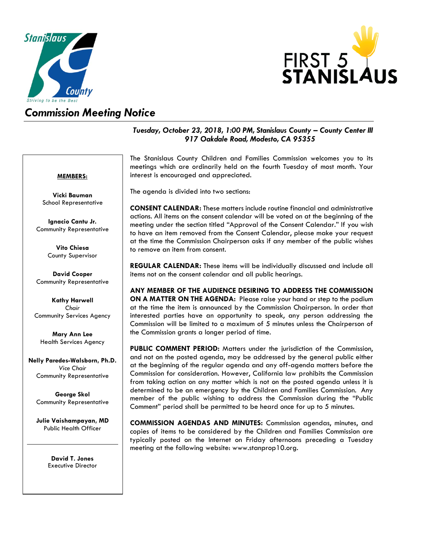



## *Commission Meeting Notice*

### *Tuesday, October 23, 2018, 1:00 PM, Stanislaus County – County Center III 917 Oakdale Road, Modesto, CA 95355*

#### **MEMBERS:**

**Vicki Bauman** School Representative

**Ignacio Cantu Jr.** Community Representative

> **Vito Chiesa** County Supervisor

**David Cooper** Community Representative

**Kathy Harwell** *Chair* Community Services Agency

**Mary Ann Lee** Health Services Agency

**Nelly Paredes-Walsborn, Ph.D.** *Vice Chair* Community Representative

**George Skol** Community Representative

**Julie Vaishampayan, MD** Public Health Officer

> **David T. Jones** Executive Director

The Stanislaus County Children and Families Commission welcomes you to its meetings which are ordinarily held on the fourth Tuesday of most month. Your interest is encouraged and appreciated.

The agenda is divided into two sections:

**CONSENT CALENDAR:** These matters include routine financial and administrative actions. All items on the consent calendar will be voted on at the beginning of the meeting under the section titled "Approval of the Consent Calendar." If you wish to have an item removed from the Consent Calendar, please make your request at the time the Commission Chairperson asks if any member of the public wishes to remove an item from consent.

**REGULAR CALENDAR:** These items will be individually discussed and include all items not on the consent calendar and all public hearings.

**ANY MEMBER OF THE AUDIENCE DESIRING TO ADDRESS THE COMMISSION ON A MATTER ON THE AGENDA:** Please raise your hand or step to the podium at the time the item is announced by the Commission Chairperson. In order that interested parties have an opportunity to speak, any person addressing the Commission will be limited to a maximum of 5 minutes unless the Chairperson of the Commission grants a longer period of time.

**PUBLIC COMMENT PERIOD:** Matters under the jurisdiction of the Commission, and not on the posted agenda, may be addressed by the general public either at the beginning of the regular agenda and any off-agenda matters before the Commission for consideration. However, California law prohibits the Commission from taking action on any matter which is not on the posted agenda unless it is determined to be an emergency by the Children and Families Commission. Any member of the public wishing to address the Commission during the "Public Comment" period shall be permitted to be heard once for up to 5 minutes.

**COMMISSION AGENDAS AND MINUTES:** Commission agendas, minutes, and copies of items to be considered by the Children and Families Commission are typically posted on the Internet on Friday afternoons preceding a Tuesday meeting at the following website: [www.stanprop10.org.](http://www.stanprop10.org/)